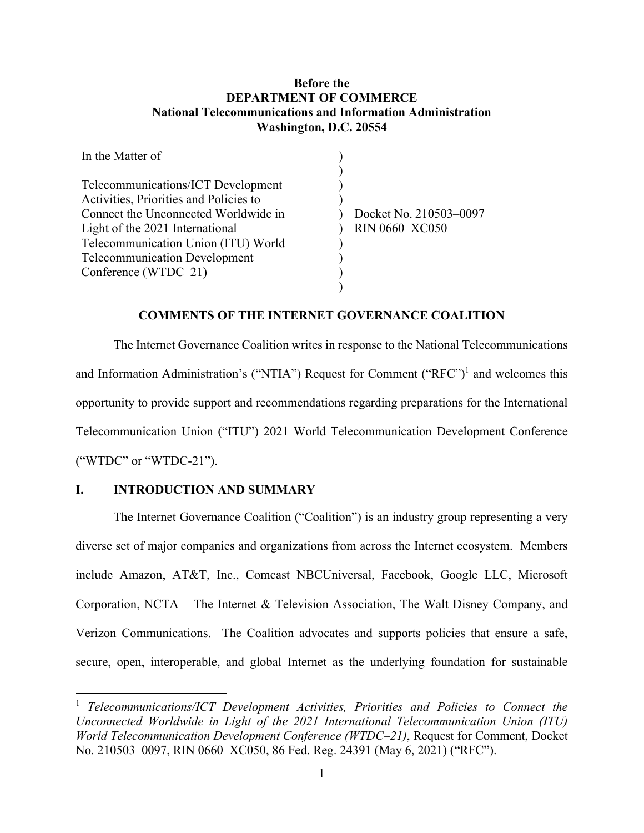## **Before the DEPARTMENT OF COMMERCE National Telecommunications and Information Administration Washington, D.C. 20554**

| In the Matter of                       |                        |
|----------------------------------------|------------------------|
|                                        |                        |
| Telecommunications/ICT Development     |                        |
| Activities, Priorities and Policies to |                        |
| Connect the Unconnected Worldwide in   | Docket No. 210503-0097 |
| Light of the 2021 International        | <b>RIN 0660-XC050</b>  |
| Telecommunication Union (ITU) World    |                        |
| <b>Telecommunication Development</b>   |                        |
| Conference (WTDC-21)                   |                        |
|                                        |                        |

#### **COMMENTS OF THE INTERNET GOVERNANCE COALITION**

The Internet Governance Coalition writes in response to the National Telecommunications and Information Administration's ("NTIA") Request for Comment ("RFC")<sup>1</sup> and welcomes this opportunity to provide support and recommendations regarding preparations for the International Telecommunication Union ("ITU") 2021 World Telecommunication Development Conference ("WTDC" or "WTDC-21").

## **I. INTRODUCTION AND SUMMARY**

The Internet Governance Coalition ("Coalition") is an industry group representing a very diverse set of major companies and organizations from across the Internet ecosystem. Members include Amazon, AT&T, Inc., Comcast NBCUniversal, Facebook, Google LLC, Microsoft Corporation, NCTA – The Internet & Television Association, The Walt Disney Company, and Verizon Communications. The Coalition advocates and supports policies that ensure a safe, secure, open, interoperable, and global Internet as the underlying foundation for sustainable

<sup>1</sup> *Telecommunications/ICT Development Activities, Priorities and Policies to Connect the Unconnected Worldwide in Light of the 2021 International Telecommunication Union (ITU) World Telecommunication Development Conference (WTDC–21)*, Request for Comment, Docket No. 210503–0097, RIN 0660–XC050, 86 Fed. Reg. 24391 (May 6, 2021) ("RFC").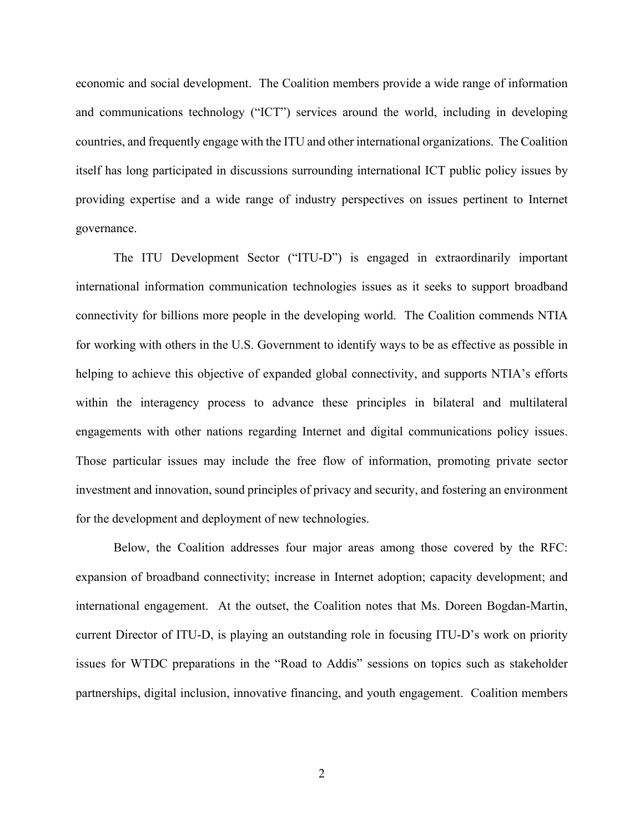economic and social development. The Coalition members provide a wide range of information and communications technology ("ICT") services around the world, including in developing countries, and frequently engage with the ITU and other international organizations. The Coalition itself has long participated in discussions surrounding international ICT public policy issues by providing expertise and a wide range of industry perspectives on issues pertinent to Internet governance.

The ITU Development Sector ("ITU-D") is engaged in extraordinarily important international information communication technologies issues as it seeks to support broadband connectivity for billions more people in the developing world. The Coalition commends NTIA for working with others in the U.S. Government to identify ways to be as effective as possible in helping to achieve this objective of expanded global connectivity, and supports NTIA's efforts within the interagency process to advance these principles in bilateral and multilateral engagements with other nations regarding Internet and digital communications policy issues. Those particular issues may include the free flow of information, promoting private sector investment and innovation, sound principles of privacy and security, and fostering an environment for the development and deployment of new technologies.

Below, the Coalition addresses four major areas among those covered by the RFC: expansion of broadband connectivity; increase in Internet adoption; capacity development; and international engagement. At the outset, the Coalition notes that Ms. Doreen Bogdan-Martin, current Director of ITU-D, is playing an outstanding role in focusing ITU-D's work on priority issues for WTDC preparations in the "Road to Addis" sessions on topics such as stakeholder partnerships, digital inclusion, innovative financing, and youth engagement. Coalition members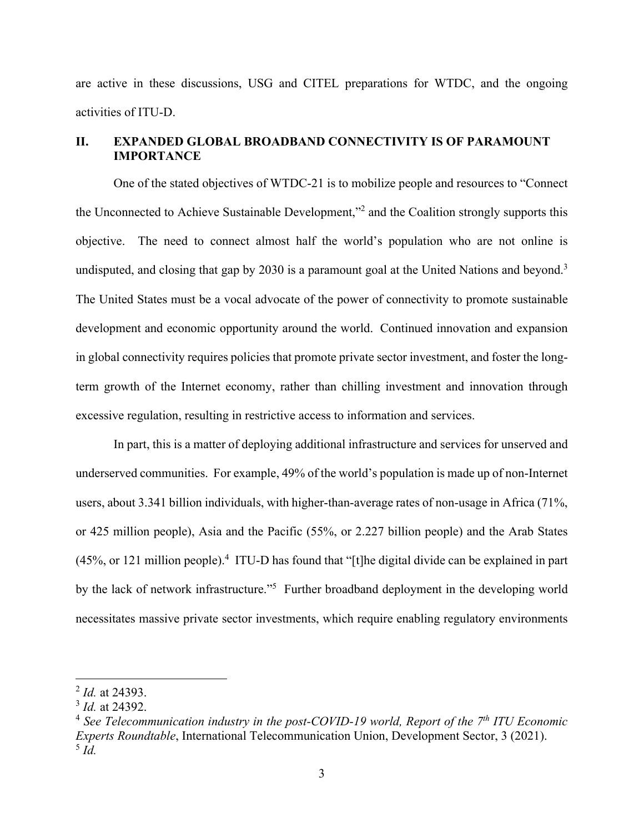are active in these discussions, USG and CITEL preparations for WTDC, and the ongoing activities of ITU-D.

## **II. EXPANDED GLOBAL BROADBAND CONNECTIVITY IS OF PARAMOUNT IMPORTANCE**

One of the stated objectives of WTDC-21 is to mobilize people and resources to "Connect the Unconnected to Achieve Sustainable Development,"<sup>2</sup> and the Coalition strongly supports this objective. The need to connect almost half the world's population who are not online is undisputed, and closing that gap by 2030 is a paramount goal at the United Nations and beyond.<sup>3</sup> The United States must be a vocal advocate of the power of connectivity to promote sustainable development and economic opportunity around the world. Continued innovation and expansion in global connectivity requires policies that promote private sector investment, and foster the longterm growth of the Internet economy, rather than chilling investment and innovation through excessive regulation, resulting in restrictive access to information and services.

In part, this is a matter of deploying additional infrastructure and services for unserved and underserved communities. For example, 49% of the world's population is made up of non-Internet users, about 3.341 billion individuals, with higher-than-average rates of non-usage in Africa (71%, or 425 million people), Asia and the Pacific (55%, or 2.227 billion people) and the Arab States  $(45\%$ , or 121 million people).<sup>4</sup> ITU-D has found that "[t]he digital divide can be explained in part by the lack of network infrastructure."<sup>5</sup> Further broadband deployment in the developing world necessitates massive private sector investments, which require enabling regulatory environments

<sup>2</sup> *Id.* at 24393.

<sup>3</sup> *Id.* at 24392.

<sup>&</sup>lt;sup>4</sup> See Telecommunication industry in the post-COVID-19 world, Report of the 7<sup>th</sup> ITU Economic *Experts Roundtable*, International Telecommunication Union, Development Sector, 3 (2021). <sup>5</sup> *Id.*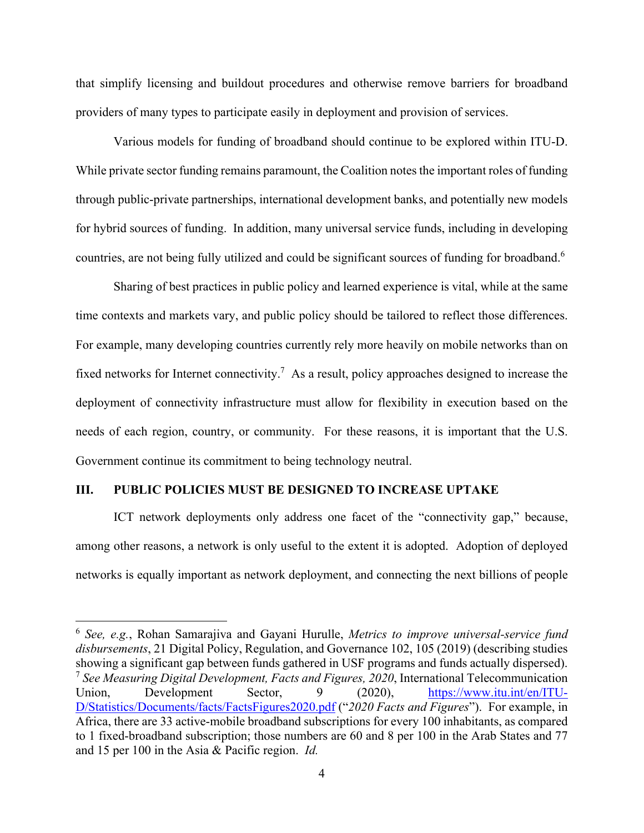that simplify licensing and buildout procedures and otherwise remove barriers for broadband providers of many types to participate easily in deployment and provision of services.

Various models for funding of broadband should continue to be explored within ITU-D. While private sector funding remains paramount, the Coalition notes the important roles of funding through public-private partnerships, international development banks, and potentially new models for hybrid sources of funding. In addition, many universal service funds, including in developing countries, are not being fully utilized and could be significant sources of funding for broadband.<sup>6</sup>

Sharing of best practices in public policy and learned experience is vital, while at the same time contexts and markets vary, and public policy should be tailored to reflect those differences. For example, many developing countries currently rely more heavily on mobile networks than on fixed networks for Internet connectivity.<sup>7</sup> As a result, policy approaches designed to increase the deployment of connectivity infrastructure must allow for flexibility in execution based on the needs of each region, country, or community. For these reasons, it is important that the U.S. Government continue its commitment to being technology neutral.

#### **III. PUBLIC POLICIES MUST BE DESIGNED TO INCREASE UPTAKE**

ICT network deployments only address one facet of the "connectivity gap," because, among other reasons, a network is only useful to the extent it is adopted. Adoption of deployed networks is equally important as network deployment, and connecting the next billions of people

<sup>6</sup> *See, e.g.*, Rohan Samarajiva and Gayani Hurulle, *Metrics to improve universal-service fund disbursements*, 21 Digital Policy, Regulation, and Governance 102, 105 (2019) (describing studies showing a significant gap between funds gathered in USF programs and funds actually dispersed). <sup>7</sup> *See Measuring Digital Development, Facts and Figures, 2020*, International Telecommunication Union, Development Sector, 9 (2020), https://www.itu.int/en/ITU-D/Statistics/Documents/facts/FactsFigures2020.pdf ("*2020 Facts and Figures*"). For example, in Africa, there are 33 active-mobile broadband subscriptions for every 100 inhabitants, as compared to 1 fixed-broadband subscription; those numbers are 60 and 8 per 100 in the Arab States and 77 and 15 per 100 in the Asia & Pacific region. *Id.*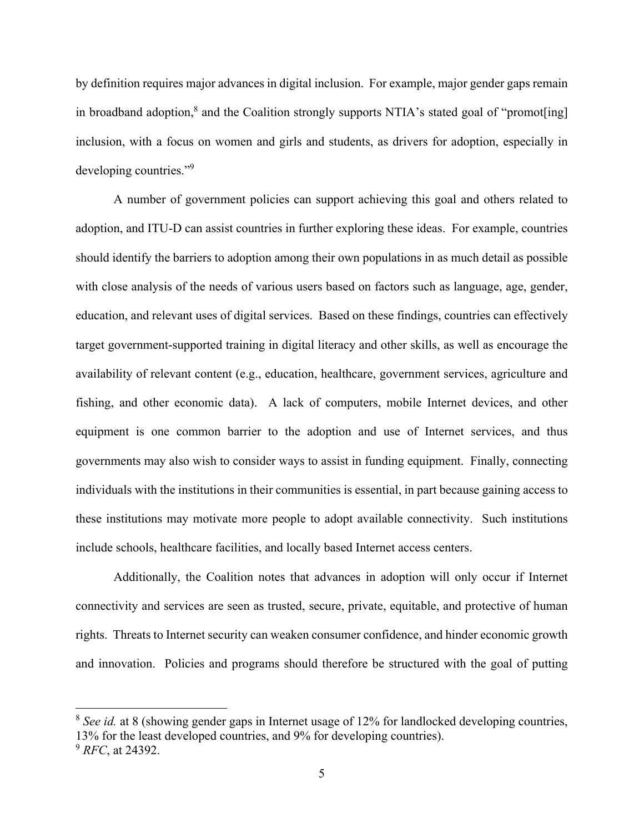by definition requires major advances in digital inclusion. For example, major gender gaps remain in broadband adoption,<sup>8</sup> and the Coalition strongly supports NTIA's stated goal of "promot[ing] inclusion, with a focus on women and girls and students, as drivers for adoption, especially in developing countries."<sup>9</sup>

A number of government policies can support achieving this goal and others related to adoption, and ITU-D can assist countries in further exploring these ideas. For example, countries should identify the barriers to adoption among their own populations in as much detail as possible with close analysis of the needs of various users based on factors such as language, age, gender, education, and relevant uses of digital services. Based on these findings, countries can effectively target government-supported training in digital literacy and other skills, as well as encourage the availability of relevant content (e.g., education, healthcare, government services, agriculture and fishing, and other economic data). A lack of computers, mobile Internet devices, and other equipment is one common barrier to the adoption and use of Internet services, and thus governments may also wish to consider ways to assist in funding equipment. Finally, connecting individuals with the institutions in their communities is essential, in part because gaining access to these institutions may motivate more people to adopt available connectivity. Such institutions include schools, healthcare facilities, and locally based Internet access centers.

Additionally, the Coalition notes that advances in adoption will only occur if Internet connectivity and services are seen as trusted, secure, private, equitable, and protective of human rights. Threats to Internet security can weaken consumer confidence, and hinder economic growth and innovation. Policies and programs should therefore be structured with the goal of putting

<sup>&</sup>lt;sup>8</sup> *See id.* at 8 (showing gender gaps in Internet usage of 12% for landlocked developing countries, 13% for the least developed countries, and 9% for developing countries).

<sup>9</sup> *RFC*, at 24392.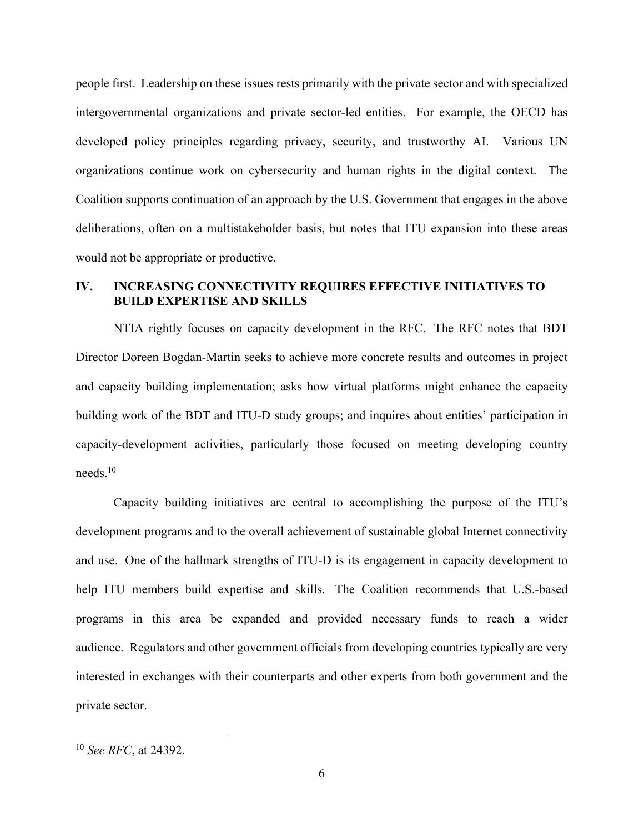people first. Leadership on these issues rests primarily with the private sector and with specialized intergovernmental organizations and private sector-led entities. For example, the OECD has developed policy principles regarding privacy, security, and trustworthy AI. Various UN organizations continue work on cybersecurity and human rights in the digital context. The Coalition supports continuation of an approach by the U.S. Government that engages in the above deliberations, often on a multistakeholder basis, but notes that ITU expansion into these areas would not be appropriate or productive.

# **IV. INCREASING CONNECTIVITY REQUIRES EFFECTIVE INITIATIVES TO BUILD EXPERTISE AND SKILLS**

NTIA rightly focuses on capacity development in the RFC. The RFC notes that BDT Director Doreen Bogdan-Martin seeks to achieve more concrete results and outcomes in project and capacity building implementation; asks how virtual platforms might enhance the capacity building work of the BDT and ITU-D study groups; and inquires about entities' participation in capacity-development activities, particularly those focused on meeting developing country needs.10

Capacity building initiatives are central to accomplishing the purpose of the ITU's development programs and to the overall achievement of sustainable global Internet connectivity and use. One of the hallmark strengths of ITU-D is its engagement in capacity development to help ITU members build expertise and skills. The Coalition recommends that U.S.-based programs in this area be expanded and provided necessary funds to reach a wider audience. Regulators and other government officials from developing countries typically are very interested in exchanges with their counterparts and other experts from both government and the private sector.

<sup>10</sup> *See RFC*, at 24392.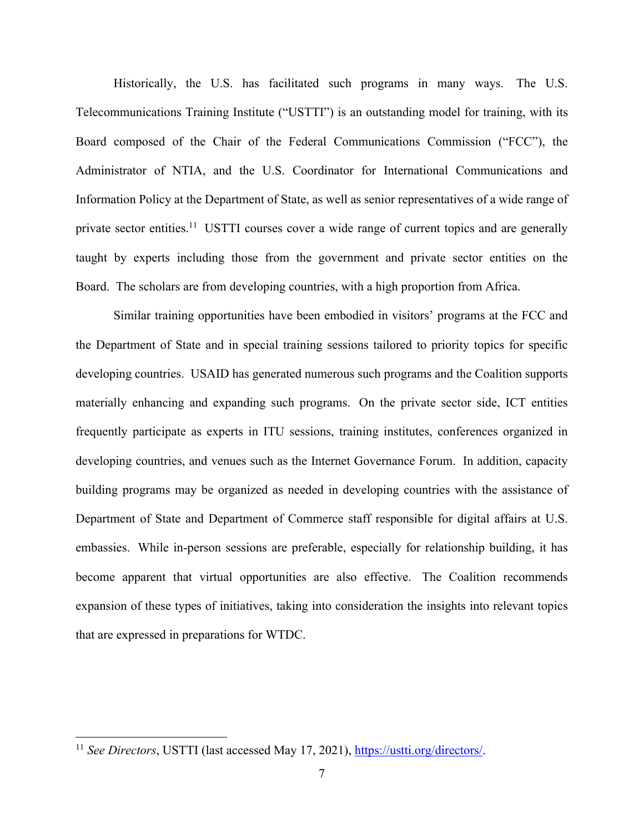Historically, the U.S. has facilitated such programs in many ways. The U.S. Telecommunications Training Institute ("USTTI") is an outstanding model for training, with its Board composed of the Chair of the Federal Communications Commission ("FCC"), the Administrator of NTIA, and the U.S. Coordinator for International Communications and Information Policy at the Department of State, as well as senior representatives of a wide range of private sector entities.<sup>11</sup> USTTI courses cover a wide range of current topics and are generally taught by experts including those from the government and private sector entities on the Board. The scholars are from developing countries, with a high proportion from Africa.

Similar training opportunities have been embodied in visitors' programs at the FCC and the Department of State and in special training sessions tailored to priority topics for specific developing countries. USAID has generated numerous such programs and the Coalition supports materially enhancing and expanding such programs. On the private sector side, ICT entities frequently participate as experts in ITU sessions, training institutes, conferences organized in developing countries, and venues such as the Internet Governance Forum. In addition, capacity building programs may be organized as needed in developing countries with the assistance of Department of State and Department of Commerce staff responsible for digital affairs at U.S. embassies. While in-person sessions are preferable, especially for relationship building, it has become apparent that virtual opportunities are also effective. The Coalition recommends expansion of these types of initiatives, taking into consideration the insights into relevant topics that are expressed in preparations for WTDC.

<sup>&</sup>lt;sup>11</sup> *See Directors*, USTTI (last accessed May 17, 2021), https://ustti.org/directors/.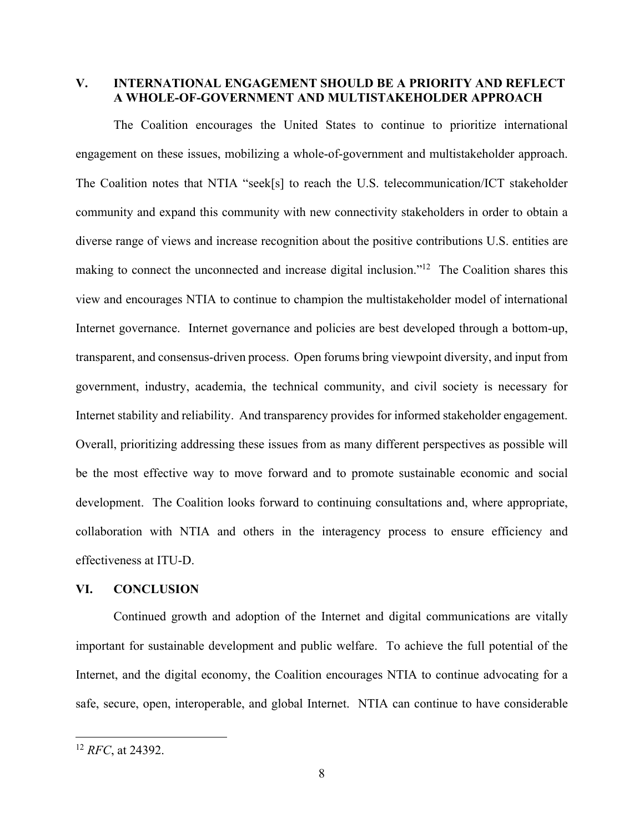# **V. INTERNATIONAL ENGAGEMENT SHOULD BE A PRIORITY AND REFLECT A WHOLE-OF-GOVERNMENT AND MULTISTAKEHOLDER APPROACH**

The Coalition encourages the United States to continue to prioritize international engagement on these issues, mobilizing a whole-of-government and multistakeholder approach. The Coalition notes that NTIA "seek[s] to reach the U.S. telecommunication/ICT stakeholder community and expand this community with new connectivity stakeholders in order to obtain a diverse range of views and increase recognition about the positive contributions U.S. entities are making to connect the unconnected and increase digital inclusion."<sup>12</sup> The Coalition shares this view and encourages NTIA to continue to champion the multistakeholder model of international Internet governance. Internet governance and policies are best developed through a bottom-up, transparent, and consensus-driven process. Open forums bring viewpoint diversity, and input from government, industry, academia, the technical community, and civil society is necessary for Internet stability and reliability. And transparency provides for informed stakeholder engagement. Overall, prioritizing addressing these issues from as many different perspectives as possible will be the most effective way to move forward and to promote sustainable economic and social development. The Coalition looks forward to continuing consultations and, where appropriate, collaboration with NTIA and others in the interagency process to ensure efficiency and effectiveness at ITU-D.

### **VI. CONCLUSION**

Continued growth and adoption of the Internet and digital communications are vitally important for sustainable development and public welfare. To achieve the full potential of the Internet, and the digital economy, the Coalition encourages NTIA to continue advocating for a safe, secure, open, interoperable, and global Internet. NTIA can continue to have considerable

<sup>12</sup> *RFC*, at 24392.